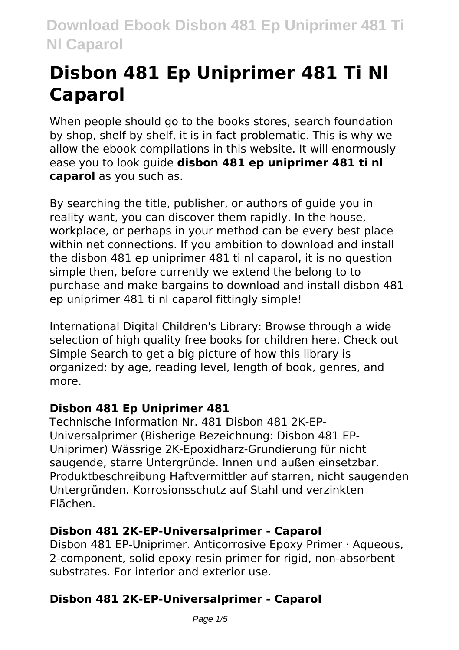# **Disbon 481 Ep Uniprimer 481 Ti Nl Caparol**

When people should go to the books stores, search foundation by shop, shelf by shelf, it is in fact problematic. This is why we allow the ebook compilations in this website. It will enormously ease you to look guide **disbon 481 ep uniprimer 481 ti nl caparol** as you such as.

By searching the title, publisher, or authors of guide you in reality want, you can discover them rapidly. In the house, workplace, or perhaps in your method can be every best place within net connections. If you ambition to download and install the disbon 481 ep uniprimer 481 ti nl caparol, it is no question simple then, before currently we extend the belong to to purchase and make bargains to download and install disbon 481 ep uniprimer 481 ti nl caparol fittingly simple!

International Digital Children's Library: Browse through a wide selection of high quality free books for children here. Check out Simple Search to get a big picture of how this library is organized: by age, reading level, length of book, genres, and more.

# **Disbon 481 Ep Uniprimer 481**

Technische Information Nr. 481 Disbon 481 2K-EP-Universalprimer (Bisherige Bezeichnung: Disbon 481 EP-Uniprimer) Wässrige 2K-Epoxidharz-Grundierung für nicht saugende, starre Untergründe. Innen und außen einsetzbar. Produktbeschreibung Haftvermittler auf starren, nicht saugenden Untergründen. Korrosionsschutz auf Stahl und verzinkten Flächen.

# **Disbon 481 2K-EP-Universalprimer - Caparol**

Disbon 481 EP-Uniprimer. Anticorrosive Epoxy Primer · Aqueous, 2-component, solid epoxy resin primer for rigid, non-absorbent substrates. For interior and exterior use.

# **Disbon 481 2K-EP-Universalprimer - Caparol**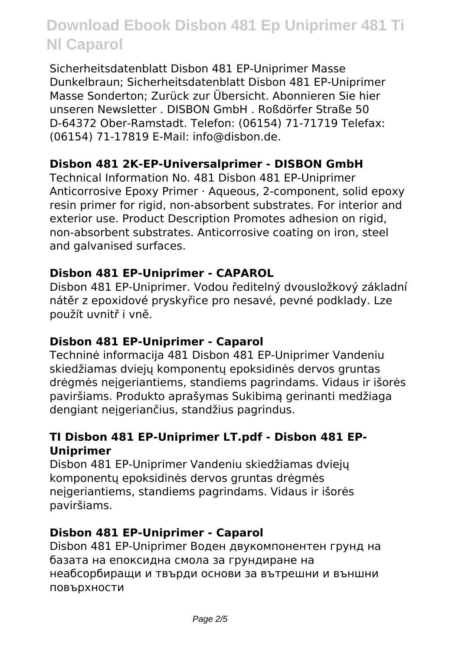Sicherheitsdatenblatt Disbon 481 EP-Uniprimer Masse Dunkelbraun; Sicherheitsdatenblatt Disbon 481 EP-Uniprimer Masse Sonderton; Zurück zur Übersicht. Abonnieren Sie hier unseren Newsletter . DISBON GmbH . Roßdörfer Straße 50 D-64372 Ober-Ramstadt. Telefon: (06154) 71-71719 Telefax: (06154) 71-17819 E-Mail: info@disbon.de.

# **Disbon 481 2K-EP-Universalprimer - DISBON GmbH**

Technical Information No. 481 Disbon 481 EP-Uniprimer Anticorrosive Epoxy Primer · Aqueous, 2-component, solid epoxy resin primer for rigid, non-absorbent substrates. For interior and exterior use. Product Description Promotes adhesion on rigid, non-absorbent substrates. Anticorrosive coating on iron, steel and galvanised surfaces.

# **Disbon 481 EP-Uniprimer - CAPAROL**

Disbon 481 EP-Uniprimer. Vodou ředitelný dvousložkový základní nátěr z epoxidové pryskyřice pro nesavé, pevné podklady. Lze použít uvnitř i vně.

# **Disbon 481 EP-Uniprimer - Caparol**

Techninė informacija 481 Disbon 481 EP-Uniprimer Vandeniu skiedžiamas dviejų komponentų epoksidinės dervos gruntas drėgmės neįgeriantiems, standiems pagrindams. Vidaus ir išorės paviršiams. Produkto aprašymas Sukibimą gerinanti medžiaga dengiant neįgeriančius, standžius pagrindus.

# **TI Disbon 481 EP-Uniprimer LT.pdf - Disbon 481 EP-Uniprimer**

Disbon 481 EP-Uniprimer Vandeniu skiedžiamas dviejų komponentų epoksidinės dervos gruntas drėgmės nejgeriantiems, standiems pagrindams. Vidaus ir išorės paviršiams.

# **Disbon 481 EP-Uniprimer - Caparol**

Disbon 481 EP-Uniprimer Воден двукомпонентен грунд на базата на епоксидна смола за грундиране на неабсорбиращи и твърди основи за вътрешни и външни повърхности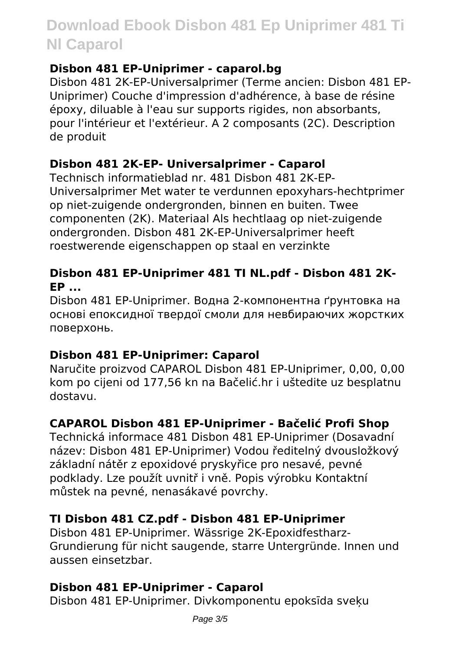# **Disbon 481 EP-Uniprimer - caparol.bg**

Disbon 481 2K-EP-Universalprimer (Terme ancien: Disbon 481 EP-Uniprimer) Couche d'impression d'adhérence, à base de résine époxy, diluable à l'eau sur supports rigides, non absorbants, pour l'intérieur et l'extérieur. A 2 composants (2C). Description de produit

# **Disbon 481 2K-EP- Universalprimer - Caparol**

Technisch informatieblad nr. 481 Disbon 481 2K-EP-Universalprimer Met water te verdunnen epoxyhars-hechtprimer op niet-zuigende ondergronden, binnen en buiten. Twee componenten (2K). Materiaal Als hechtlaag op niet-zuigende ondergronden. Disbon 481 2K-EP-Universalprimer heeft roestwerende eigenschappen op staal en verzinkte

# **Disbon 481 EP-Uniprimer 481 TI NL.pdf - Disbon 481 2K-EP ...**

Disbon 481 EP-Uniprimer. Водна 2-компонентна ґрунтовка на основі епоксидної твердої смоли для невбираючих жорстких поверхонь.

# **Disbon 481 EP-Uniprimer: Caparol**

Naručite proizvod CAPAROL Disbon 481 EP-Uniprimer, 0,00, 0,00 kom po cijeni od 177,56 kn na Bačelić.hr i uštedite uz besplatnu dostavu.

# **CAPAROL Disbon 481 EP-Uniprimer - Bačelić Profi Shop**

Technická informace 481 Disbon 481 EP-Uniprimer (Dosavadní název: Disbon 481 EP-Uniprimer) Vodou ředitelný dvousložkový základní nátěr z epoxidové pryskyřice pro nesavé, pevné podklady. Lze použít uvnitř i vně. Popis výrobku Kontaktní můstek na pevné, nenasákavé povrchy.

# **TI Disbon 481 CZ.pdf - Disbon 481 EP-Uniprimer**

Disbon 481 EP-Uniprimer. Wässrige 2K-Epoxidfestharz-Grundierung für nicht saugende, starre Untergründe. Innen und aussen einsetzbar.

# **Disbon 481 EP-Uniprimer - Caparol**

Disbon 481 EP-Uniprimer. Divkomponentu epoksīda sveķu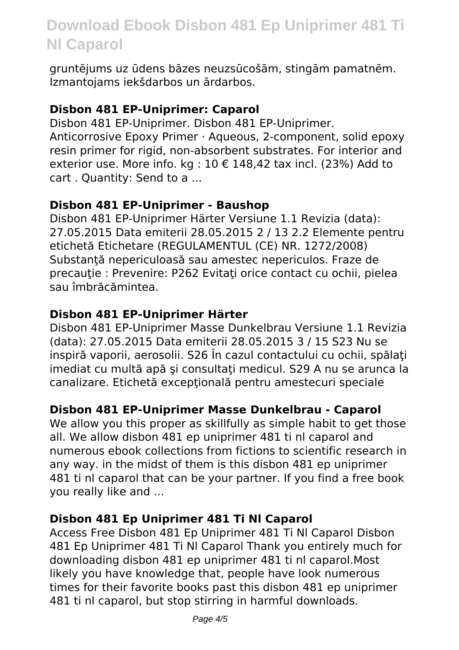gruntējums uz ūdens bāzes neuzsūcošām, stingām pamatnēm. Izmantojams iekšdarbos un ārdarbos.

#### **Disbon 481 EP-Uniprimer: Caparol**

Disbon 481 EP-Uniprimer. Disbon 481 EP-Uniprimer. Anticorrosive Epoxy Primer · Aqueous, 2-component, solid epoxy resin primer for rigid, non-absorbent substrates. For interior and exterior use. More info. kg :  $10 \text{ } \in 148.42$  tax incl. (23%) Add to cart . Quantity: Send to a ...

#### **Disbon 481 EP-Uniprimer - Baushop**

Disbon 481 EP-Uniprimer Härter Versiune 1.1 Revizia (data): 27.05.2015 Data emiterii 28.05.2015 2 / 13 2.2 Elemente pentru etichetă Etichetare (REGULAMENTUL (CE) NR. 1272/2008) Substanță nepericuloasă sau amestec nepericulos. Fraze de precauție : Prevenire: P262 Evitați orice contact cu ochii, pielea sau îmbrăcămintea.

# **Disbon 481 EP-Uniprimer Härter**

Disbon 481 EP-Uniprimer Masse Dunkelbrau Versiune 1.1 Revizia (data): 27.05.2015 Data emiterii 28.05.2015 3 / 15 S23 Nu se inspiră vaporii, aerosolii. S26 În cazul contactului cu ochii, spălaţi imediat cu multă apă și consultați medicul. S29 A nu se arunca la canalizare. Etichetă exceptională pentru amestecuri speciale

# **Disbon 481 EP-Uniprimer Masse Dunkelbrau - Caparol**

We allow you this proper as skillfully as simple habit to get those all. We allow disbon 481 ep uniprimer 481 ti nl caparol and numerous ebook collections from fictions to scientific research in any way. in the midst of them is this disbon 481 ep uniprimer 481 ti nl caparol that can be your partner. If you find a free book you really like and ...

# **Disbon 481 Ep Uniprimer 481 Ti Nl Caparol**

Access Free Disbon 481 Ep Uniprimer 481 Ti Nl Caparol Disbon 481 Ep Uniprimer 481 Ti Nl Caparol Thank you entirely much for downloading disbon 481 ep uniprimer 481 ti nl caparol.Most likely you have knowledge that, people have look numerous times for their favorite books past this disbon 481 ep uniprimer 481 ti nl caparol, but stop stirring in harmful downloads.